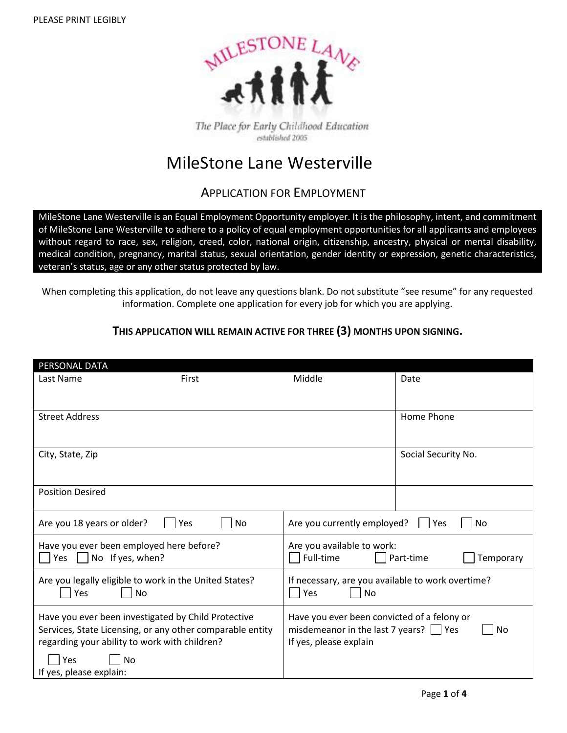

The Place for Early Childhood Education established 2005

# MileStone Lane Westerville

## APPLICATION FOR EMPLOYMENT

MileStone Lane Westerville is an Equal Employment Opportunity employer. It is the philosophy, intent, and commitment of MileStone Lane Westerville to adhere to a policy of equal employment opportunities for all applicants and employees without regard to race, sex, religion, creed, color, national origin, citizenship, ancestry, physical or mental disability, medical condition, pregnancy, marital status, sexual orientation, gender identity or expression, genetic characteristics, veteran's status, age or any other status protected by law.

When completing this application, do not leave any questions blank. Do not substitute "see resume" for any requested information. Complete one application for every job for which you are applying.

## **THIS APPLICATION WILL REMAIN ACTIVE FOR THREE (3) MONTHS UPON SIGNING.**

| PERSONAL DATA                                                                                                                                                                                             |                                                                                                                               |                        |  |  |
|-----------------------------------------------------------------------------------------------------------------------------------------------------------------------------------------------------------|-------------------------------------------------------------------------------------------------------------------------------|------------------------|--|--|
| Last Name<br>First                                                                                                                                                                                        | Middle                                                                                                                        | Date                   |  |  |
| <b>Street Address</b>                                                                                                                                                                                     |                                                                                                                               | Home Phone             |  |  |
| City, State, Zip                                                                                                                                                                                          |                                                                                                                               | Social Security No.    |  |  |
| <b>Position Desired</b>                                                                                                                                                                                   |                                                                                                                               |                        |  |  |
| Are you 18 years or older?<br>Yes<br>No                                                                                                                                                                   | Are you currently employed?<br>Ves<br>No                                                                                      |                        |  |  |
| Have you ever been employed here before?<br>No If yes, when?<br>Yes                                                                                                                                       | Are you available to work:<br>Full-time                                                                                       | Part-time<br>Temporary |  |  |
| Are you legally eligible to work in the United States?<br>Yes<br>No                                                                                                                                       | If necessary, are you available to work overtime?<br>Yes<br><b>No</b>                                                         |                        |  |  |
| Have you ever been investigated by Child Protective<br>Services, State Licensing, or any other comparable entity<br>regarding your ability to work with children?<br>No<br>Yes<br>If yes, please explain: | Have you ever been convicted of a felony or<br>misdemeanor in the last 7 years? $\vert \ \vert$ Yes<br>If yes, please explain | No                     |  |  |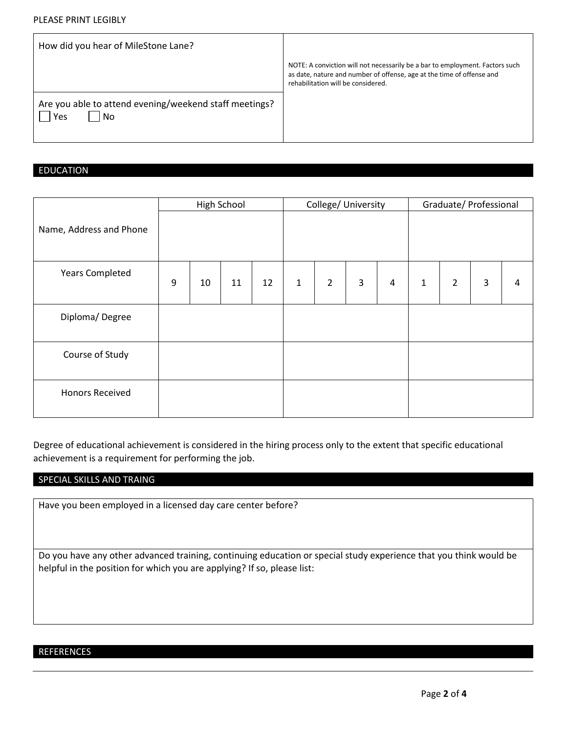#### PLEASE PRINT LEGIBLY

| How did you hear of MileStone Lane?                                 |                                                                                                                                                                                             |
|---------------------------------------------------------------------|---------------------------------------------------------------------------------------------------------------------------------------------------------------------------------------------|
|                                                                     | NOTE: A conviction will not necessarily be a bar to employment. Factors such<br>as date, nature and number of offense, age at the time of offense and<br>rehabilitation will be considered. |
| Are you able to attend evening/weekend staff meetings?<br>No<br>Yes |                                                                                                                                                                                             |

### EDUCATION

|                         |   |    | High School |    |              | College/ University |   |                         |              |                | Graduate/ Professional |   |
|-------------------------|---|----|-------------|----|--------------|---------------------|---|-------------------------|--------------|----------------|------------------------|---|
| Name, Address and Phone |   |    |             |    |              |                     |   |                         |              |                |                        |   |
| <b>Years Completed</b>  | 9 | 10 | 11          | 12 | $\mathbf{1}$ | $\overline{2}$      | 3 | $\overline{\mathbf{4}}$ | $\mathbf{1}$ | $\overline{2}$ | $\mathsf{3}$           | 4 |
| Diploma/Degree          |   |    |             |    |              |                     |   |                         |              |                |                        |   |
| Course of Study         |   |    |             |    |              |                     |   |                         |              |                |                        |   |
| <b>Honors Received</b>  |   |    |             |    |              |                     |   |                         |              |                |                        |   |

Degree of educational achievement is considered in the hiring process only to the extent that specific educational achievement is a requirement for performing the job.

#### SPECIAL SKILLS AND TRAING

Have you been employed in a licensed day care center before?

Do you have any other advanced training, continuing education or special study experience that you think would be helpful in the position for which you are applying? If so, please list:

# **REFERENCES**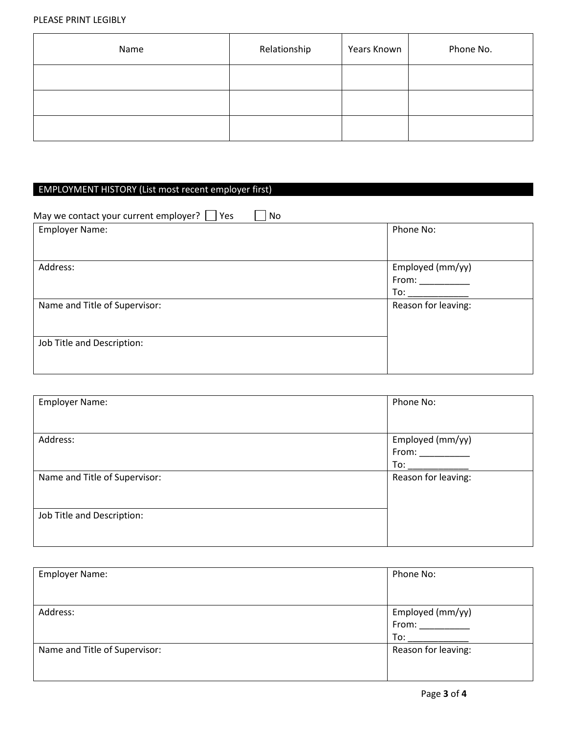#### PLEASE PRINT LEGIBLY

| Name | Relationship | Years Known | Phone No. |
|------|--------------|-------------|-----------|
|      |              |             |           |
|      |              |             |           |
|      |              |             |           |

## EMPLOYMENT HISTORY (List most recent employer first)

| May we contact your current employer? $\Box$ Yes<br>No. |                                  |
|---------------------------------------------------------|----------------------------------|
| <b>Employer Name:</b>                                   | Phone No:                        |
| Address:                                                | Employed (mm/yy)<br>From:<br>To: |
| Name and Title of Supervisor:                           | Reason for leaving:              |
| Job Title and Description:                              |                                  |

| <b>Employer Name:</b>         | Phone No:           |
|-------------------------------|---------------------|
|                               |                     |
| Address:                      | Employed (mm/yy)    |
|                               | From:               |
|                               | To:                 |
| Name and Title of Supervisor: | Reason for leaving: |
|                               |                     |
|                               |                     |
| Job Title and Description:    |                     |
|                               |                     |
|                               |                     |

| <b>Employer Name:</b>         | Phone No:           |
|-------------------------------|---------------------|
|                               |                     |
| Address:                      | Employed (mm/yy)    |
|                               | From:               |
|                               | To:                 |
| Name and Title of Supervisor: | Reason for leaving: |
|                               |                     |
|                               |                     |